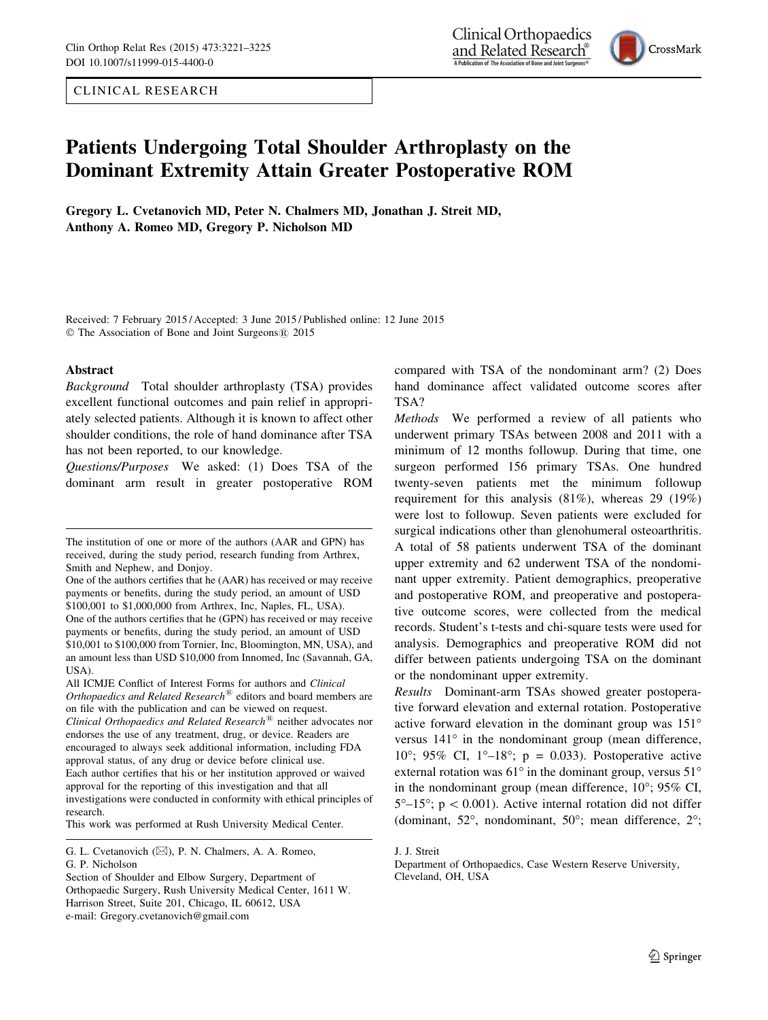CLINICAL RESEARCH

Clinical Orthopaedics and Related Research® A Publication of The Association of Bone and Joint Surgeons®



# Patients Undergoing Total Shoulder Arthroplasty on the Dominant Extremity Attain Greater Postoperative ROM

Gregory L. Cvetanovich MD, Peter N. Chalmers MD, Jonathan J. Streit MD, Anthony A. Romeo MD, Gregory P. Nicholson MD

Received: 7 February 2015 / Accepted: 3 June 2015 / Published online: 12 June 2015 © The Association of Bone and Joint Surgeons® 2015

#### Abstract

Background Total shoulder arthroplasty (TSA) provides excellent functional outcomes and pain relief in appropriately selected patients. Although it is known to affect other shoulder conditions, the role of hand dominance after TSA has not been reported, to our knowledge.

Questions/Purposes We asked: (1) Does TSA of the dominant arm result in greater postoperative ROM

All ICMJE Conflict of Interest Forms for authors and Clinical Orthopaedics and Related Research<sup>®</sup> editors and board members are on file with the publication and can be viewed on request. Clinical Orthopaedics and Related Research<sup>®</sup> neither advocates nor endorses the use of any treatment, drug, or device. Readers are encouraged to always seek additional information, including FDA approval status, of any drug or device before clinical use. Each author certifies that his or her institution approved or waived approval for the reporting of this investigation and that all investigations were conducted in conformity with ethical principles of research.

This work was performed at Rush University Medical Center.

compared with TSA of the nondominant arm? (2) Does hand dominance affect validated outcome scores after TSA?

Methods We performed a review of all patients who underwent primary TSAs between 2008 and 2011 with a minimum of 12 months followup. During that time, one surgeon performed 156 primary TSAs. One hundred twenty-seven patients met the minimum followup requirement for this analysis (81%), whereas 29 (19%) were lost to followup. Seven patients were excluded for surgical indications other than glenohumeral osteoarthritis. A total of 58 patients underwent TSA of the dominant upper extremity and 62 underwent TSA of the nondominant upper extremity. Patient demographics, preoperative and postoperative ROM, and preoperative and postoperative outcome scores, were collected from the medical records. Student's t-tests and chi-square tests were used for analysis. Demographics and preoperative ROM did not differ between patients undergoing TSA on the dominant or the nondominant upper extremity.

Results Dominant-arm TSAs showed greater postoperative forward elevation and external rotation. Postoperative active forward elevation in the dominant group was 151 versus  $141^\circ$  in the nondominant group (mean difference, 10°; 95% CI, 1°-18°; p = 0.033). Postoperative active external rotation was  $61^\circ$  in the dominant group, versus  $51^\circ$ in the nondominant group (mean difference,  $10^{\circ}$ ; 95% CI,  $5^{\circ}-15^{\circ}$ ; p < 0.001). Active internal rotation did not differ (dominant,  $52^{\circ}$ , nondominant,  $50^{\circ}$ ; mean difference,  $2^{\circ}$ ;

The institution of one or more of the authors (AAR and GPN) has received, during the study period, research funding from Arthrex, Smith and Nephew, and Donjoy.

One of the authors certifies that he (AAR) has received or may receive payments or benefits, during the study period, an amount of USD \$100,001 to \$1,000,000 from Arthrex, Inc, Naples, FL, USA). One of the authors certifies that he (GPN) has received or may receive payments or benefits, during the study period, an amount of USD \$10,001 to \$100,000 from Tornier, Inc, Bloomington, MN, USA), and an amount less than USD \$10,000 from Innomed, Inc (Savannah, GA, USA).

G. L. Cvetanovich ( $\boxtimes$ ), P. N. Chalmers, A. A. Romeo, G. P. Nicholson

Section of Shoulder and Elbow Surgery, Department of Orthopaedic Surgery, Rush University Medical Center, 1611 W. Harrison Street, Suite 201, Chicago, IL 60612, USA e-mail: Gregory.cvetanovich@gmail.com

J. J. Streit

Department of Orthopaedics, Case Western Reserve University, Cleveland, OH, USA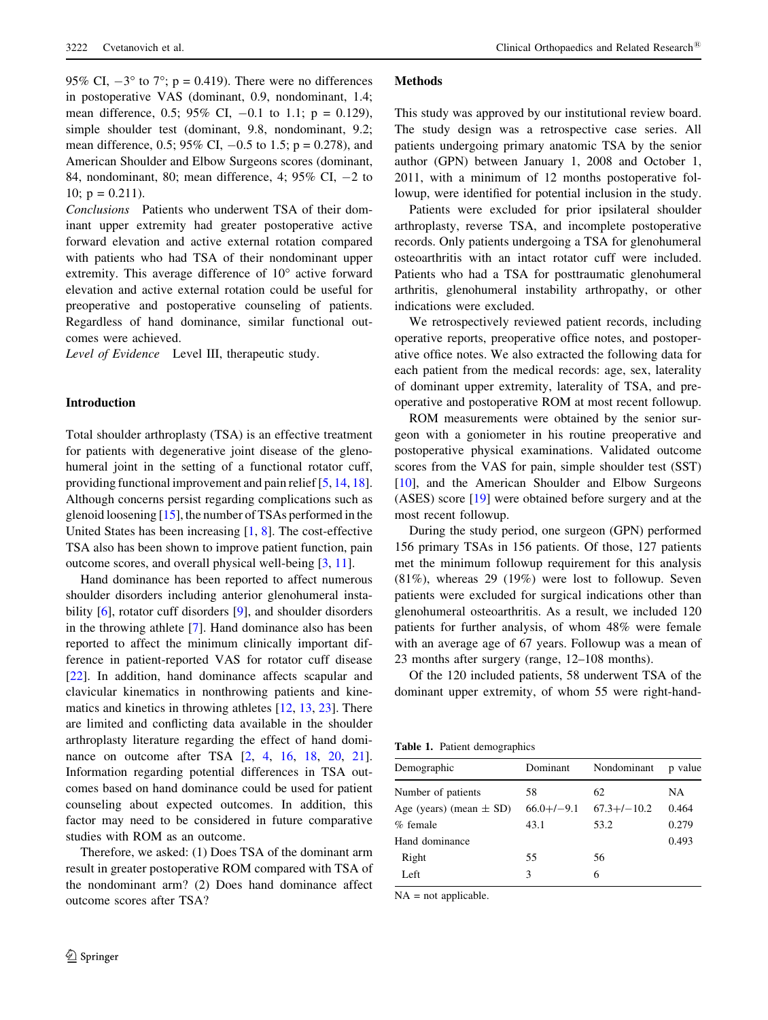3222 Cvetanovich et al.  $\blacksquare$  Clinical Orthopaedics and Related Research<sup>®</sup>

95% CI,  $-3^{\circ}$  to 7°; p = 0.419). There were no differences in postoperative VAS (dominant, 0.9, nondominant, 1.4; mean difference, 0.5; 95% CI,  $-0.1$  to 1.1;  $p = 0.129$ ), simple shoulder test (dominant, 9.8, nondominant, 9.2; mean difference, 0.5; 95% CI,  $-0.5$  to 1.5; p = 0.278), and American Shoulder and Elbow Surgeons scores (dominant, 84, nondominant, 80; mean difference, 4;  $95\%$  CI,  $-2$  to 10;  $p = 0.211$ ).

Conclusions Patients who underwent TSA of their dominant upper extremity had greater postoperative active forward elevation and active external rotation compared with patients who had TSA of their nondominant upper extremity. This average difference of  $10^{\circ}$  active forward elevation and active external rotation could be useful for preoperative and postoperative counseling of patients. Regardless of hand dominance, similar functional outcomes were achieved.

Level of Evidence Level III, therapeutic study.

#### Introduction

Total shoulder arthroplasty (TSA) is an effective treatment for patients with degenerative joint disease of the glenohumeral joint in the setting of a functional rotator cuff, providing functional improvement and pain relief [5, 14, 18]. Although concerns persist regarding complications such as glenoid loosening [15], the number of TSAs performed in the United States has been increasing [1, 8]. The cost-effective TSA also has been shown to improve patient function, pain outcome scores, and overall physical well-being [3, 11].

Hand dominance has been reported to affect numerous shoulder disorders including anterior glenohumeral instability [6], rotator cuff disorders [9], and shoulder disorders in the throwing athlete [7]. Hand dominance also has been reported to affect the minimum clinically important difference in patient-reported VAS for rotator cuff disease [22]. In addition, hand dominance affects scapular and clavicular kinematics in nonthrowing patients and kinematics and kinetics in throwing athletes [12, 13, 23]. There are limited and conflicting data available in the shoulder arthroplasty literature regarding the effect of hand dominance on outcome after TSA [2, 4, 16, 18, 20, 21]. Information regarding potential differences in TSA outcomes based on hand dominance could be used for patient counseling about expected outcomes. In addition, this factor may need to be considered in future comparative studies with ROM as an outcome.

Therefore, we asked: (1) Does TSA of the dominant arm result in greater postoperative ROM compared with TSA of the nondominant arm? (2) Does hand dominance affect outcome scores after TSA?

### **Methods**

This study was approved by our institutional review board. The study design was a retrospective case series. All patients undergoing primary anatomic TSA by the senior author (GPN) between January 1, 2008 and October 1, 2011, with a minimum of 12 months postoperative followup, were identified for potential inclusion in the study.

Patients were excluded for prior ipsilateral shoulder arthroplasty, reverse TSA, and incomplete postoperative records. Only patients undergoing a TSA for glenohumeral osteoarthritis with an intact rotator cuff were included. Patients who had a TSA for posttraumatic glenohumeral arthritis, glenohumeral instability arthropathy, or other indications were excluded.

We retrospectively reviewed patient records, including operative reports, preoperative office notes, and postoperative office notes. We also extracted the following data for each patient from the medical records: age, sex, laterality of dominant upper extremity, laterality of TSA, and preoperative and postoperative ROM at most recent followup.

ROM measurements were obtained by the senior surgeon with a goniometer in his routine preoperative and postoperative physical examinations. Validated outcome scores from the VAS for pain, simple shoulder test (SST) [10], and the American Shoulder and Elbow Surgeons (ASES) score [19] were obtained before surgery and at the most recent followup.

During the study period, one surgeon (GPN) performed 156 primary TSAs in 156 patients. Of those, 127 patients met the minimum followup requirement for this analysis (81%), whereas 29 (19%) were lost to followup. Seven patients were excluded for surgical indications other than glenohumeral osteoarthritis. As a result, we included 120 patients for further analysis, of whom 48% were female with an average age of 67 years. Followup was a mean of 23 months after surgery (range, 12–108 months).

Of the 120 included patients, 58 underwent TSA of the dominant upper extremity, of whom 55 were right-hand-

|  |  | Table 1. Patient demographics |
|--|--|-------------------------------|
|--|--|-------------------------------|

| Demographic                 | Dominant     | Nondominant      | p value |
|-----------------------------|--------------|------------------|---------|
| Number of patients          | 58           | 62               | NA      |
| Age (years) (mean $\pm$ SD) | $66.0+/-9.1$ | $67.3 + (-10.2)$ | 0.464   |
| % female                    | 43.1         | 53.2             | 0.279   |
| Hand dominance              |              |                  | 0.493   |
| Right                       | 55           | 56               |         |
| Left                        | 3            | 6                |         |
|                             |              |                  |         |

NA = not applicable.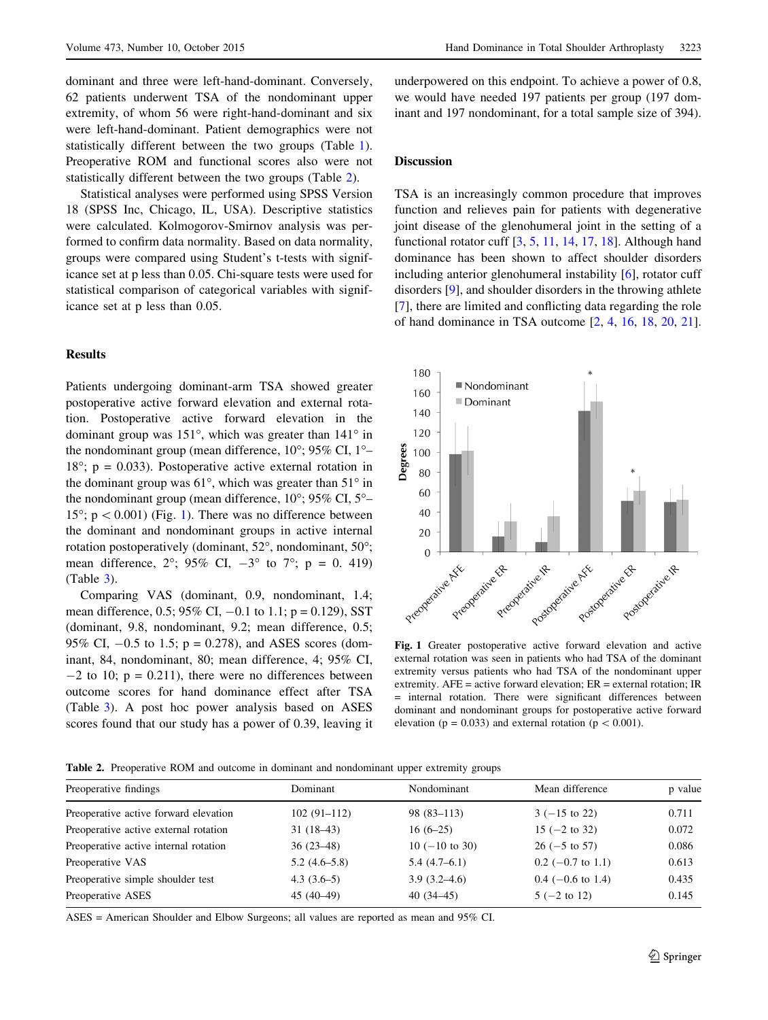dominant and three were left-hand-dominant. Conversely, 62 patients underwent TSA of the nondominant upper extremity, of whom 56 were right-hand-dominant and six were left-hand-dominant. Patient demographics were not statistically different between the two groups (Table 1). Preoperative ROM and functional scores also were not statistically different between the two groups (Table 2).

Statistical analyses were performed using SPSS Version 18 (SPSS Inc, Chicago, IL, USA). Descriptive statistics were calculated. Kolmogorov-Smirnov analysis was performed to confirm data normality. Based on data normality, groups were compared using Student's t-tests with significance set at p less than 0.05. Chi-square tests were used for statistical comparison of categorical variables with significance set at p less than 0.05.

### Results

Patients undergoing dominant-arm TSA showed greater postoperative active forward elevation and external rotation. Postoperative active forward elevation in the dominant group was  $151^\circ$ , which was greater than  $141^\circ$  in the nondominant group (mean difference,  $10^{\circ}$ ; 95% CI,  $1^{\circ}$ - $18^\circ$ ; p = 0.033). Postoperative active external rotation in the dominant group was  $61^\circ$ , which was greater than  $51^\circ$  in the nondominant group (mean difference,  $10^{\circ}$ ;  $95\%$  CI,  $5^{\circ}$ – 15°;  $p < 0.001$ ) (Fig. 1). There was no difference between the dominant and nondominant groups in active internal rotation postoperatively (dominant,  $52^{\circ}$ , nondominant,  $50^{\circ}$ ; mean difference,  $2^{\circ}$ ;  $95\%$  CI,  $-3^{\circ}$  to  $7^{\circ}$ ;  $p = 0$ . 419) (Table 3).

Comparing VAS (dominant, 0.9, nondominant, 1.4; mean difference, 0.5; 95% CI,  $-0.1$  to 1.1;  $p = 0.129$ ), SST (dominant, 9.8, nondominant, 9.2; mean difference, 0.5; 95% CI,  $-0.5$  to 1.5;  $p = 0.278$ ), and ASES scores (dominant, 84, nondominant, 80; mean difference, 4; 95% CI,  $-2$  to 10;  $p = 0.211$ ), there were no differences between outcome scores for hand dominance effect after TSA (Table 3). A post hoc power analysis based on ASES scores found that our study has a power of 0.39, leaving it underpowered on this endpoint. To achieve a power of 0.8, we would have needed 197 patients per group (197 dominant and 197 nondominant, for a total sample size of 394).

# Discussion

TSA is an increasingly common procedure that improves function and relieves pain for patients with degenerative joint disease of the glenohumeral joint in the setting of a functional rotator cuff [3, 5, 11, 14, 17, 18]. Although hand dominance has been shown to affect shoulder disorders including anterior glenohumeral instability [6], rotator cuff disorders [9], and shoulder disorders in the throwing athlete [7], there are limited and conflicting data regarding the role of hand dominance in TSA outcome [2, 4, 16, 18, 20, 21].



Fig. 1 Greater postoperative active forward elevation and active external rotation was seen in patients who had TSA of the dominant extremity versus patients who had TSA of the nondominant upper extremity. AFE = active forward elevation; ER = external rotation; IR = internal rotation. There were significant differences between dominant and nondominant groups for postoperative active forward elevation ( $p = 0.033$ ) and external rotation ( $p \lt 0.001$ ).

Table 2. Preoperative ROM and outcome in dominant and nondominant upper extremity groups

| Preoperative findings                 | Dominant       | Nondominant      | Mean difference         | p value |
|---------------------------------------|----------------|------------------|-------------------------|---------|
| Preoperative active forward elevation | $102(91-112)$  | $98(83-113)$     | $3(-15 \text{ to } 22)$ | 0.711   |
| Preoperative active external rotation | $31(18-43)$    | $16(6-25)$       | $15$ (-2 to 32)         | 0.072   |
| Preoperative active internal rotation | $36(23-48)$    | $10 (-10 to 30)$ | $26 (-5)$ to 57)        | 0.086   |
| Preoperative VAS                      | $5.2(4.6-5.8)$ | $5.4(4.7-6.1)$   | $0.2$ (-0.7 to 1.1)     | 0.613   |
| Preoperative simple shoulder test     | $4.3(3.6-5)$   | $3.9(3.2 - 4.6)$ | $0.4$ (-0.6 to 1.4)     | 0.435   |
| Preoperative ASES                     | $45(40-49)$    | $40(34-45)$      | $5(-2 \text{ to } 12)$  | 0.145   |

ASES = American Shoulder and Elbow Surgeons; all values are reported as mean and 95% CI.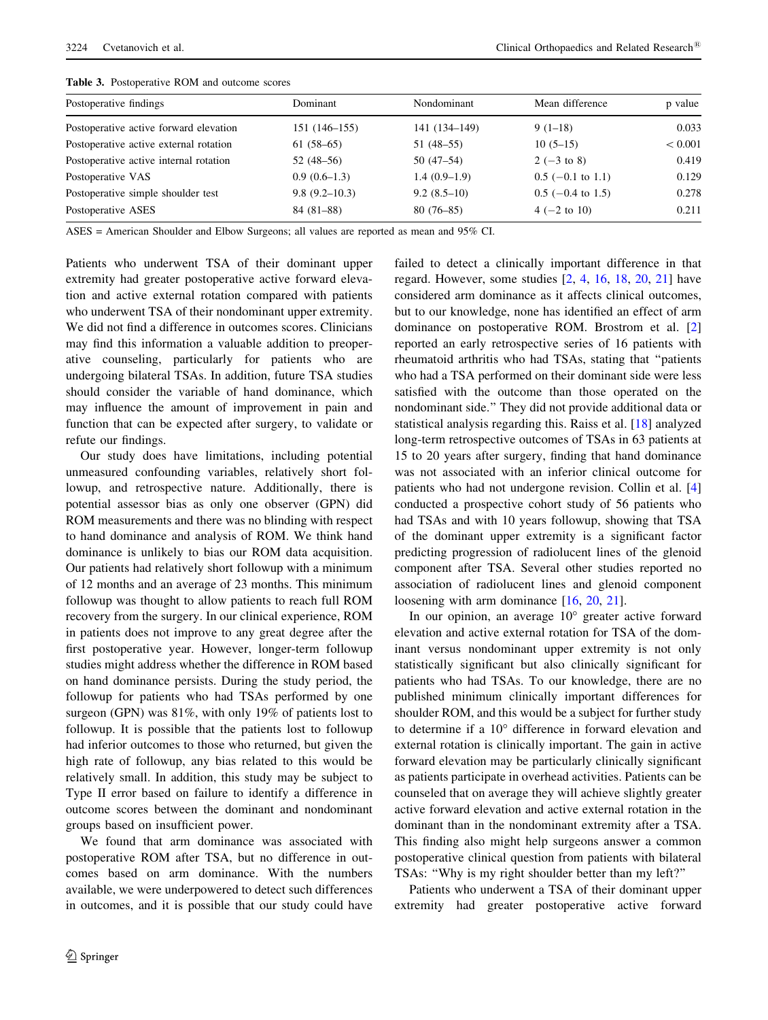| Postoperative findings                 | Dominant          | Nondominant    | Mean difference       | p value |  |  |
|----------------------------------------|-------------------|----------------|-----------------------|---------|--|--|
| Postoperative active forward elevation | 151 (146–155)     | 141 (134–149)  | $9(1-18)$             | 0.033   |  |  |
| Postoperative active external rotation | $61(58-65)$       | $51(48-55)$    | $10(5-15)$            | < 0.001 |  |  |
| Postoperative active internal rotation | $52(48-56)$       | $50(47-54)$    | $2(-3 \text{ to } 8)$ | 0.419   |  |  |
| Postoperative VAS                      | $0.9(0.6-1.3)$    | $1.4(0.9-1.9)$ | $0.5$ (-0.1 to 1.1)   | 0.129   |  |  |
| Postoperative simple shoulder test     | $9.8(9.2 - 10.3)$ | $9.2(8.5-10)$  | $0.5$ (-0.4 to 1.5)   | 0.278   |  |  |
| Postoperative ASES                     | $84(81-88)$       | $80(76-85)$    | $4 (-2 to 10)$        | 0.211   |  |  |

Table 3. Postoperative ROM and outcome scores

ASES = American Shoulder and Elbow Surgeons; all values are reported as mean and 95% CI.

Patients who underwent TSA of their dominant upper extremity had greater postoperative active forward elevation and active external rotation compared with patients who underwent TSA of their nondominant upper extremity. We did not find a difference in outcomes scores. Clinicians may find this information a valuable addition to preoperative counseling, particularly for patients who are undergoing bilateral TSAs. In addition, future TSA studies should consider the variable of hand dominance, which may influence the amount of improvement in pain and function that can be expected after surgery, to validate or refute our findings.

Our study does have limitations, including potential unmeasured confounding variables, relatively short followup, and retrospective nature. Additionally, there is potential assessor bias as only one observer (GPN) did ROM measurements and there was no blinding with respect to hand dominance and analysis of ROM. We think hand dominance is unlikely to bias our ROM data acquisition. Our patients had relatively short followup with a minimum of 12 months and an average of 23 months. This minimum followup was thought to allow patients to reach full ROM recovery from the surgery. In our clinical experience, ROM in patients does not improve to any great degree after the first postoperative year. However, longer-term followup studies might address whether the difference in ROM based on hand dominance persists. During the study period, the followup for patients who had TSAs performed by one surgeon (GPN) was 81%, with only 19% of patients lost to followup. It is possible that the patients lost to followup had inferior outcomes to those who returned, but given the high rate of followup, any bias related to this would be relatively small. In addition, this study may be subject to Type II error based on failure to identify a difference in outcome scores between the dominant and nondominant groups based on insufficient power.

We found that arm dominance was associated with postoperative ROM after TSA, but no difference in outcomes based on arm dominance. With the numbers available, we were underpowered to detect such differences in outcomes, and it is possible that our study could have

<sup>2</sup> Springer

failed to detect a clinically important difference in that regard. However, some studies [2, 4, 16, 18, 20, 21] have considered arm dominance as it affects clinical outcomes, but to our knowledge, none has identified an effect of arm dominance on postoperative ROM. Brostrom et al. [2] reported an early retrospective series of 16 patients with rheumatoid arthritis who had TSAs, stating that ''patients who had a TSA performed on their dominant side were less satisfied with the outcome than those operated on the nondominant side.'' They did not provide additional data or statistical analysis regarding this. Raiss et al. [18] analyzed long-term retrospective outcomes of TSAs in 63 patients at 15 to 20 years after surgery, finding that hand dominance was not associated with an inferior clinical outcome for patients who had not undergone revision. Collin et al. [4] conducted a prospective cohort study of 56 patients who had TSAs and with 10 years followup, showing that TSA of the dominant upper extremity is a significant factor predicting progression of radiolucent lines of the glenoid component after TSA. Several other studies reported no association of radiolucent lines and glenoid component loosening with arm dominance [16, 20, 21].

In our opinion, an average  $10^{\circ}$  greater active forward elevation and active external rotation for TSA of the dominant versus nondominant upper extremity is not only statistically significant but also clinically significant for patients who had TSAs. To our knowledge, there are no published minimum clinically important differences for shoulder ROM, and this would be a subject for further study to determine if a  $10^{\circ}$  difference in forward elevation and external rotation is clinically important. The gain in active forward elevation may be particularly clinically significant as patients participate in overhead activities. Patients can be counseled that on average they will achieve slightly greater active forward elevation and active external rotation in the dominant than in the nondominant extremity after a TSA. This finding also might help surgeons answer a common postoperative clinical question from patients with bilateral TSAs: ''Why is my right shoulder better than my left?''

Patients who underwent a TSA of their dominant upper extremity had greater postoperative active forward